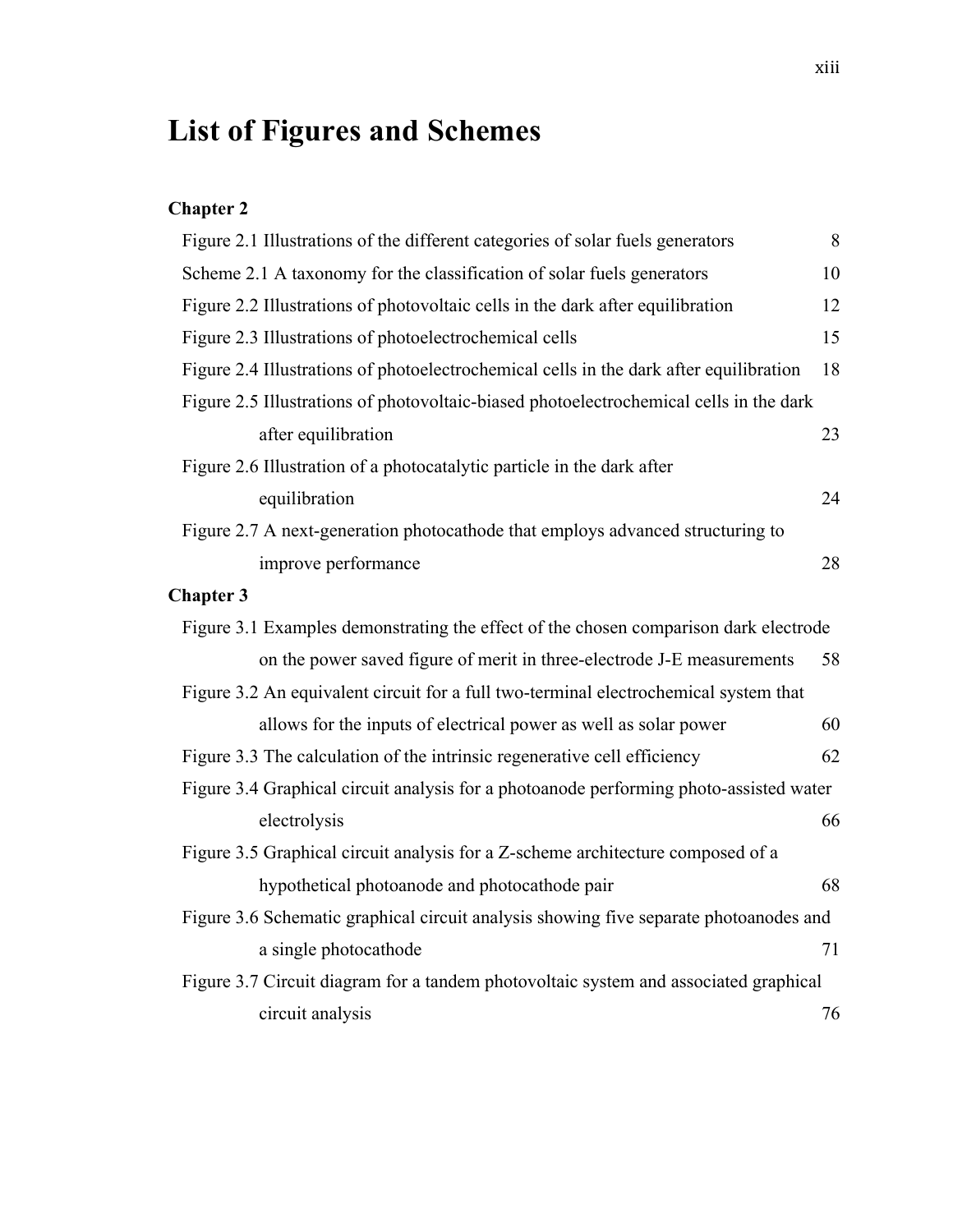## **List of Figures and Schemes**

## **Chapter 2**

| Figure 2.1 Illustrations of the different categories of solar fuels generators         | 8  |
|----------------------------------------------------------------------------------------|----|
| Scheme 2.1 A taxonomy for the classification of solar fuels generators                 | 10 |
| Figure 2.2 Illustrations of photovoltaic cells in the dark after equilibration         | 12 |
| Figure 2.3 Illustrations of photoelectrochemical cells                                 | 15 |
| Figure 2.4 Illustrations of photoelectrochemical cells in the dark after equilibration | 18 |
| Figure 2.5 Illustrations of photovoltaic-biased photoelectrochemical cells in the dark |    |
| after equilibration                                                                    | 23 |
| Figure 2.6 Illustration of a photocatalytic particle in the dark after                 |    |
| equilibration                                                                          | 24 |
| Figure 2.7 A next-generation photocathode that employs advanced structuring to         |    |
| improve performance                                                                    | 28 |
| <b>Chapter 3</b>                                                                       |    |
| Figure 3.1 Examples demonstrating the effect of the chosen comparison dark electrode   |    |
| on the power saved figure of merit in three-electrode J-E measurements                 | 58 |
| Figure 3.2 An equivalent circuit for a full two-terminal electrochemical system that   |    |
| allows for the inputs of electrical power as well as solar power                       | 60 |
| Figure 3.3 The calculation of the intrinsic regenerative cell efficiency               | 62 |
| Figure 3.4 Graphical circuit analysis for a photoanode performing photo-assisted water |    |
| electrolysis                                                                           | 66 |
| Figure 3.5 Graphical circuit analysis for a Z-scheme architecture composed of a        |    |
| hypothetical photoanode and photocathode pair                                          | 68 |
| Figure 3.6 Schematic graphical circuit analysis showing five separate photoanodes and  |    |
| a single photocathode                                                                  | 71 |
| Figure 3.7 Circuit diagram for a tandem photovoltaic system and associated graphical   |    |
| circuit analysis                                                                       | 76 |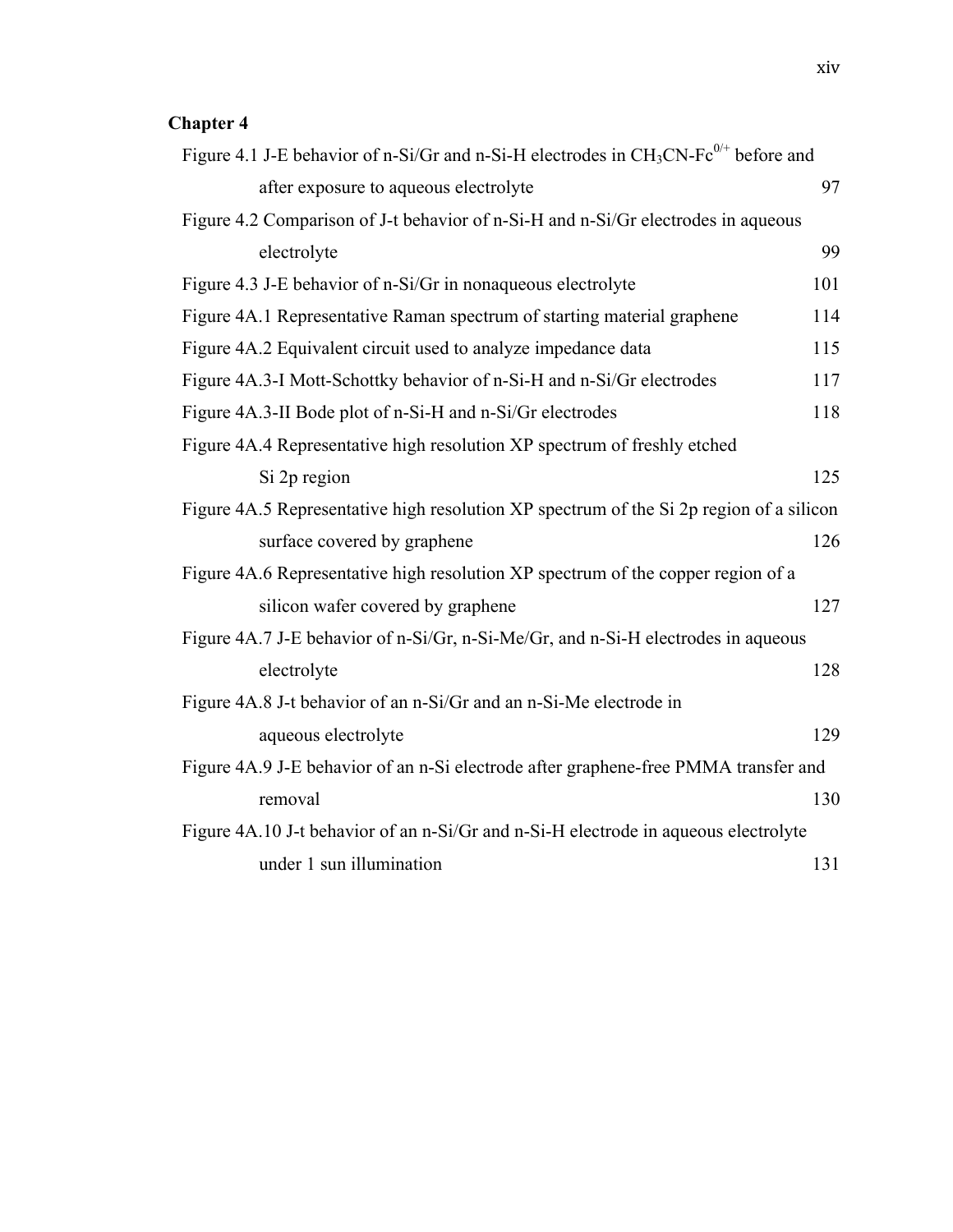## **Chapter 4**

| Figure 4.1 J-E behavior of n-Si/Gr and n-Si-H electrodes in $CH_3CN-Fe^{0/+}$ before and |     |
|------------------------------------------------------------------------------------------|-----|
| after exposure to aqueous electrolyte                                                    | 97  |
| Figure 4.2 Comparison of J-t behavior of n-Si-H and n-Si/Gr electrodes in aqueous        |     |
| electrolyte                                                                              | 99  |
| Figure 4.3 J-E behavior of n-Si/Gr in nonaqueous electrolyte                             | 101 |
| Figure 4A.1 Representative Raman spectrum of starting material graphene                  | 114 |
| Figure 4A.2 Equivalent circuit used to analyze impedance data                            | 115 |
| Figure 4A.3-I Mott-Schottky behavior of n-Si-H and n-Si/Gr electrodes                    | 117 |
| Figure 4A.3-II Bode plot of n-Si-H and n-Si/Gr electrodes                                | 118 |
| Figure 4A.4 Representative high resolution XP spectrum of freshly etched                 |     |
| Si 2p region                                                                             | 125 |
| Figure 4A.5 Representative high resolution XP spectrum of the Si 2p region of a silicon  |     |
| surface covered by graphene                                                              | 126 |
| Figure 4A.6 Representative high resolution XP spectrum of the copper region of a         |     |
| silicon wafer covered by graphene                                                        | 127 |
| Figure 4A.7 J-E behavior of n-Si/Gr, n-Si-Me/Gr, and n-Si-H electrodes in aqueous        |     |
| electrolyte                                                                              | 128 |
| Figure 4A.8 J-t behavior of an n-Si/Gr and an n-Si-Me electrode in                       |     |
| aqueous electrolyte                                                                      | 129 |
| Figure 4A.9 J-E behavior of an n-Si electrode after graphene-free PMMA transfer and      |     |
| removal                                                                                  | 130 |
| Figure 4A.10 J-t behavior of an n-Si/Gr and n-Si-H electrode in aqueous electrolyte      |     |
| under 1 sun illumination                                                                 | 131 |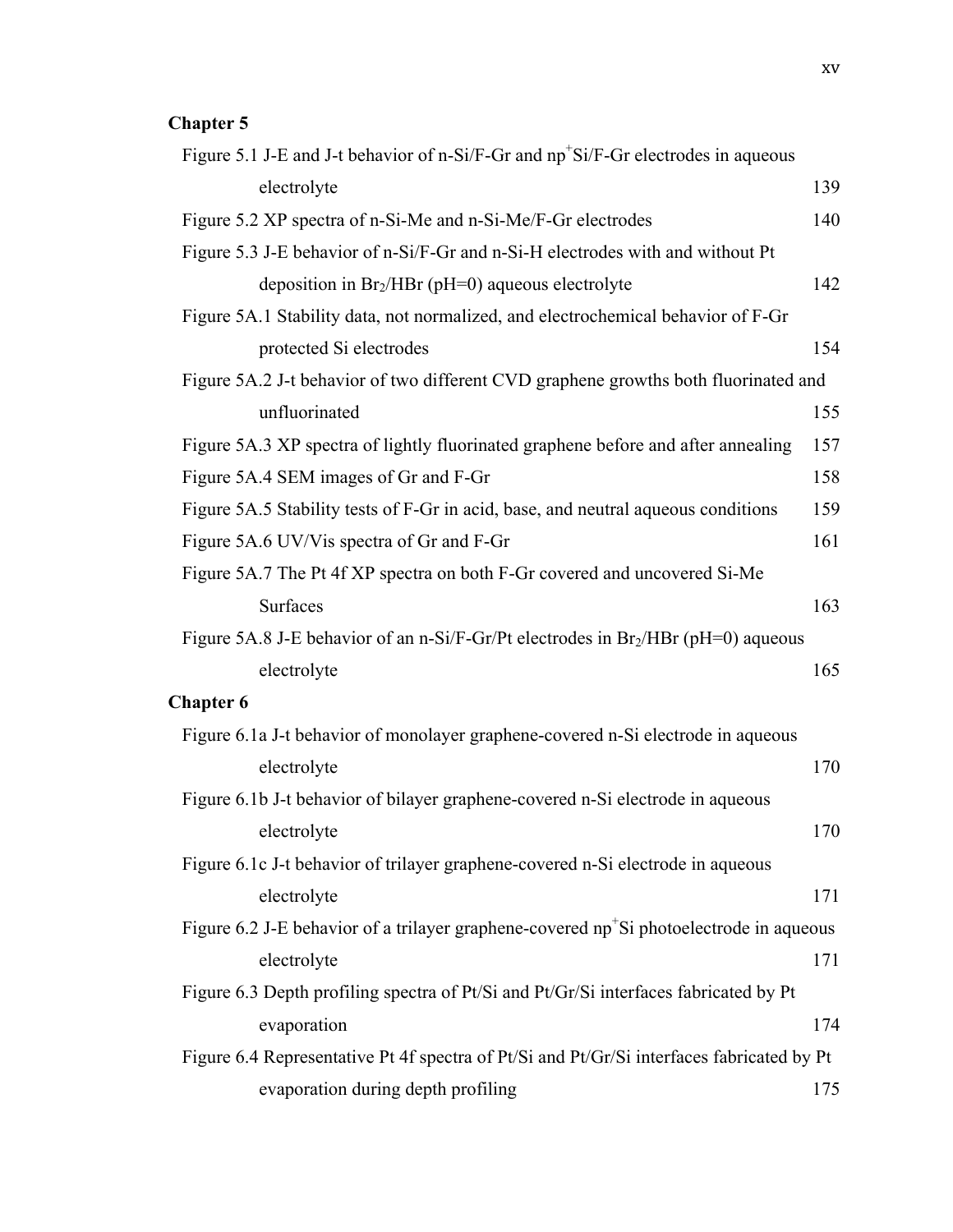## **Chapter 5**

| Figure 5.1 J-E and J-t behavior of n-Si/F-Gr and np <sup>+</sup> Si/F-Gr electrodes in aqueous      |     |
|-----------------------------------------------------------------------------------------------------|-----|
| electrolyte                                                                                         | 139 |
| Figure 5.2 XP spectra of n-Si-Me and n-Si-Me/F-Gr electrodes                                        | 140 |
| Figure 5.3 J-E behavior of n-Si/F-Gr and n-Si-H electrodes with and without Pt                      |     |
| deposition in $Br2/HBr$ (pH=0) aqueous electrolyte                                                  | 142 |
| Figure 5A.1 Stability data, not normalized, and electrochemical behavior of F-Gr                    |     |
| protected Si electrodes                                                                             | 154 |
| Figure 5A.2 J-t behavior of two different CVD graphene growths both fluorinated and                 |     |
| unfluorinated                                                                                       | 155 |
| Figure 5A.3 XP spectra of lightly fluorinated graphene before and after annealing                   | 157 |
| Figure 5A.4 SEM images of Gr and F-Gr                                                               | 158 |
| Figure 5A.5 Stability tests of F-Gr in acid, base, and neutral aqueous conditions                   | 159 |
| Figure 5A.6 UV/Vis spectra of Gr and F-Gr                                                           | 161 |
| Figure 5A.7 The Pt 4f XP spectra on both F-Gr covered and uncovered Si-Me                           |     |
| Surfaces                                                                                            | 163 |
| Figure 5A.8 J-E behavior of an n-Si/F-Gr/Pt electrodes in $Br2/HBr$ (pH=0) aqueous                  |     |
| electrolyte                                                                                         | 165 |
| <b>Chapter 6</b>                                                                                    |     |
| Figure 6.1a J-t behavior of monolayer graphene-covered n-Si electrode in aqueous                    |     |
| electrolyte                                                                                         | 170 |
| Figure 6.1b J-t behavior of bilayer graphene-covered n-Si electrode in aqueous                      |     |
| electrolyte                                                                                         | 170 |
| Figure 6.1c J-t behavior of trilayer graphene-covered n-Si electrode in aqueous                     |     |
| electrolyte                                                                                         | 171 |
| Figure 6.2 J-E behavior of a trilayer graphene-covered np <sup>+</sup> Si photoelectrode in aqueous |     |
| electrolyte                                                                                         | 171 |
| Figure 6.3 Depth profiling spectra of Pt/Si and Pt/Gr/Si interfaces fabricated by Pt                |     |
| evaporation                                                                                         | 174 |
| Figure 6.4 Representative Pt 4f spectra of Pt/Si and Pt/Gr/Si interfaces fabricated by Pt           |     |
| evaporation during depth profiling                                                                  | 175 |
|                                                                                                     |     |